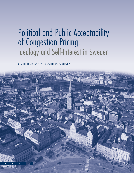# Political and Public Acceptability of Congestion Pricing: Ideology and Self-Interest in Sweden

BJÖRN HÅRSMAN AND JOHN M. QUIGLEY

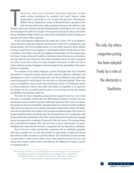T HIRTY-FIVE YEARS AGO, ECONOMIST JOHN KAIN PROPOSED SEVERAL simple pricing mechanisms for roadways that would "improve urban transportation at practically no cost." At about the same time, Nobel laureate William Vickrey championed a number of likeminded ideas, especially in New York City, that would reduce traffic congestion and improve the efficiency of the transport sector. Some of these proposals would also involve "practically no cost," even using the technology of the 1960s. For example, Vickrey proposed varying the tolls on New York's George Washington Bridge with the time of day, which would make rush-hour driving more expensive and reduce traffic congestion.

At first, only Singapore implemented this simple idea. In June 1975, in an attempt to reduce downtown congestion, Singapore introduced the world's first comprehensive road pricing program. The Area Licensing Scheme, as it was called, imposed a toll on vehicles entering a restricted zone near Singapore's central business district during business hours on workdays. Some fifteen years after the Singapore demonstration, the three largest cities in Norway—Bergen, Oslo, and Trondheim—introduced urban toll systems on circumferential roads. However, the rationale for these latter innovations was not to reduce congestion but rather to generate revenues for urban transport investments. In 2003, the City of London adopted a version of Singapore's Area Licensing Scheme specifically to help control downtown congestion.

The examples set by London, Singapore, and the Norwegian cities have stimulated discussions of congestion pricing among traffic engineers, planners, politicians, and administrators in many US and European cities. But elected officials in many cities have rejected proposals for road pricing for fear that they are politically infeasible. These fears seem to be justified by survey results from both Europe and the US. Well-known studies of citizen preferences observe that public and political acceptability is an important precondition for the successful implementation of road pricing, and that the political acceptability of road pricing is rather low.

The only city where congestion pricing has been adopted freely by a vote of the electorate is Stockholm. Shortly after the 2002 national elections in Sweden, the new national government resolved to sponsor a full-scale experiment with a system of congestion charges for the city of Stockholm. A pricing scheme for roadways would be combined with a short-term increase in the capacity of the public transportation system. The Parliament also decided that a referendum on the permanent implementation of the system of charges should be held in Stockholm after the trial period was over, in conjunction with the general election of September 2006. After a trial of almost seven months, the charging system was approved by a majority (52 percent) of the city's voters. The pricing scheme was re-introduced in August 2007, and has been in force continuously ever since. Stockholm thus represents the first time a congestion toll was imposed by a plebiscite.

Since it has been widely asserted that congestion tolls are politically unpopular, observing a popular vote on such tolls provides an opportunity to analyze the factors that influence public acceptance of priced roadways. The Stockholm case also provides an opportunity to observe how citizen voters make tradeoffs between the time and money costs of travel, and how these costs influence the willingness to impose a system of congestion tolls. ➢

*Björn Hårsman is Professor at the KTH Royal Institute of Technology, Division of Economics, in Stockholm, Sweden (bjorn.harsman@kth.se). John Quigley is the I. Donald Terner Distinguished Professor, and Professor of Economics, Public Policy and Business at the University of California, Berkeley (quigley@haas.berkeley.edu).*

The only city where congestion pricing has been adopted freely by a vote of the electorate is Stockholm.

> **3 A C C E S S N U M B E R 3 8 , S P R I N G 2 0 1 1**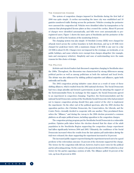

**A C C E S S 4**

# **THE CONGESTION CHARGE**

The system of congestion charges imposed in Stockholm during the first half of 2006 was quite simple. A cordon surrounding the inner city was established and 18 gantries monitored traffic flowing across the perimeter. Vehicles crossing the perimeter were assessed the congestion toll. Vehicles were identified either by transponders or by cameras that photographed license plates as they crossed the cordon. About 95 percent of charges were identified automatically, and bills were sent automatically to preregistered users. Figure 1 shows the inner parts of Stockholm and the perimeter of the toll zone, as well as the locations of the monitoring devices.

The charging system was also simple: 10 Swedish Crowns (SEK) were charged for off-peak travel across the cordon boundary in both directions, and up to 20 SEK were charged for peak-hour travel, with a maximum charge of 60 SEK to any user in a day (10 SEK is about \$1.50). Charges were not imposed in the evenings, on weekends, or on public holidays, and some vehicles were exempt from charges altogether (for example, taxis and emergency vehicles). Simplicity and ease of understanding were the main reasons for this choice of design.

## **THE POLITICS**

Activists and elected leaders had discussed congestion charging in Stockholm since the 1980s. Throughout, the discussion was characterized by strong differences among political parties as well as among politicians at both the national and local levels. The debate was also influenced by shifting political majorities and alliances, again both nationally and locally.

The 2002 congestion pricing initiative came about as a result of some of these shifting alliances, which resulted from the 2002 national elections. The Social Democrats had won a large plurality and formed a government, in part by attracting the support of the Environmentalist Party. In exchange for this support, the Social Democrats agreed to an experiment in congestion charging. Together, the Environmentalists and the national Social Democrats convinced the Stockholm Social Democrats (who had promised not to impose congestion pricing should they gain control of the city) to implement the experiment. On the other end of the political spectrum, after the 2002 election the opposition parties—the Christian Democrats, the Conservatives, the Liberals, and the Centre Party—formally decided to cooperate with one another. They proclaimed themselves the "Alliance," and during the run-up to the 2006 election presented a common platform on all major political issues, including opposition to the congestion charges.

The congestion pricing program put the Stockholm Social Democrats in a vulnerable position. Opinion polls taken before the election showed that the share of the adult population in the Stockholm Region supporting the congestion charge experiment had fallen significantly between 2004 and 2005. Ultimately, the confidence of the Social Democrats increased when the results from the last opinion poll undertaken *during* the trial were released; the share supporting the experiment increased to 54 percent.

The increased public support reported during the experiment turned out to be a good predictor of the referendum outcome: 52 percent of the electorate supported the charge. The victory for the congestion tolls did not, however, lead to more votes for the political parties advocating pricing. On the contrary, the general election in 2006 resulted in a clear victory for the parties opposing a system of tolls. The Alliance polled 54 percent of the vote, up from 48 percent in 2002.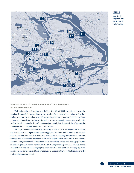# **Nães** 15 Hersh Lidingo Liding **Rásunda** 16  $|18$ undbvi Hagalund  $\overline{17}$ Soln a Alby Skytte 14  $\overline{13}$  $12$  $|10\rangle$ lockholm  $|9|$ Ù Dinast 8  $6($ 1 5 和  $\overline{3}$  $\mathbf{H}$ Axelsberg

**EFFECTS OF THE CHARGING SYSTEM AND THEIR INFLUENCE ON THE REFERENDUM**

Well before the referendum was held in the fall of 2006, the city of Stockholm published a detailed compendium of the results of the congestion pricing trial. A key finding was that the number of vehicles crossing the charge cordon declined by about 22 percent. Underlying the broad discussion in the compendium were the results of a sophisticated, but standard, traffic engineering model that simulated the effects of the tolling system on neighborhoods and traffic zones.

Although the congestion charge passed by a vote of 52 to 48 percent, in 26 voting districts fewer than 40 percent of voters supported the tolls, and in another 42 districts over 60 percent did. We can relate this variability in citizen preferences to the time savings and incremental transportation costs experienced by voters in the various districts. Using standard GIS methods, we allocated the voting and demographic data to the roughly 339 zones defined in the traffic engineering model. The data reveal substantial variability in demographic characteristics and political ideology by zone, and also in the distribution of time savings and incremental travel costs attributable to the system of congestion tolls.  $\geq$ 

# **FIGURE 1**

Perimeter of Congestion Zone and Location of the 18 Gantries

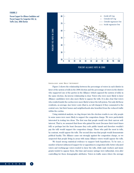# **FIGURE 2**

Percent Support for Alliance Candidates and Percent Support for Congestion Tolls, by Traffic Zone, 2006 Election



**IDEOLOGY AND SELF INTEREST**

Figure 2 shows the relationship between the percentage of voters in each district in favor of the system of tolls in the 2006 election and the percentage of voters in the district who supported one of the parties in the Alliance (which opposed the system of tolls) in the same election. An inverse relationship is clear. Voters who were more likely to favor Alliance candidates were also more likely to oppose the tolls. It is also clear that voters who resided inside the cordon were more likely to favor the toll system. Not only did these residents, on average, face lower costs (that is, no toll charges) if they commuted to the central core, but their homes and neighborhoods also benefited from the reduced traffic within the cordon.

Using statistical analysis, we dug deeper into the election results to see why people in some zones were more likely to support the congestion charge. We were particularly interested in testing two ideas. The first was that people would vote their narrow selfinterest. That is, we assumed that those who gained the most (because their travel times fell) or perhaps lost the least (because they rode public transit and therefore wouldn't pay the toll) would support the congestion charge. Those who paid the most in tolls, by contrast, would oppose the tolls. The second idea was that people would demonstrate political loyalty. The Alliance came out strongly against the congestion charge, so we suspected that people living in areas with many Alliance voters would oppose the tolls.

We found strong statistical evidence to support both hypotheses. To be sure, a number of factors influenced support for or opposition to congestion tolls: better educated voters and working-age voters tended to favor the tolls, while male workers and immigrants tended to oppose them. But time and money savings were influential, even after controlling for these demographic attributes. Voters in traffic zones where the average

**A C C E S S 6**